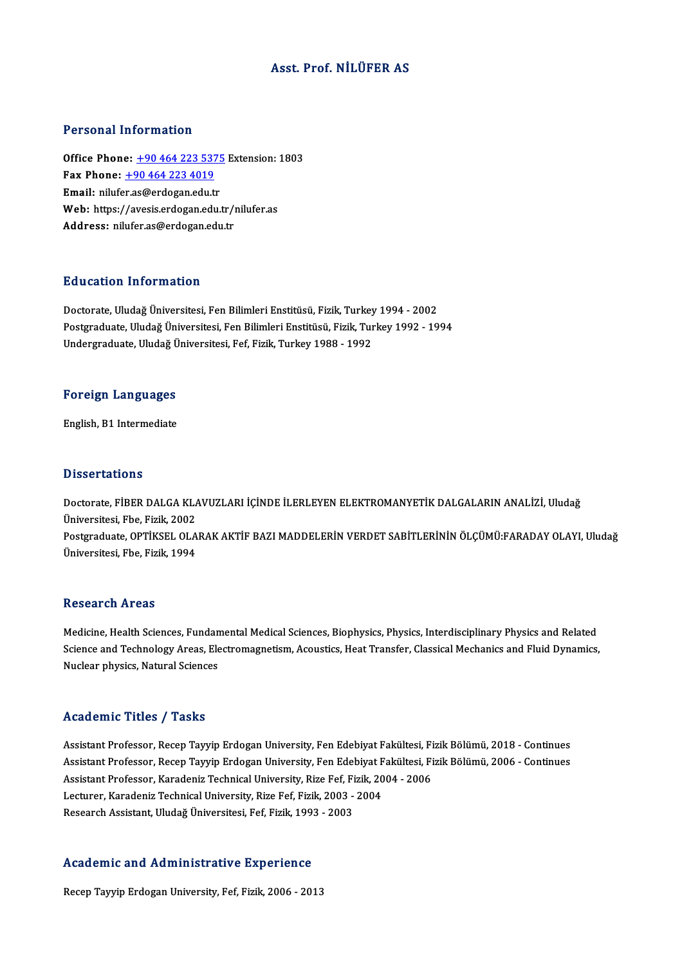## Asst. Prof. NİLÜFER AS

#### Personal Information

**Personal Information<br>Office Phone: <u>+90 464 223 5375</u> Extension: 1803**<br>Fax Phone: 190 464 223 4019 Fax Phone: <u>+90 464 223 537</u><br>Fax Phone: <u>+90 464 223 537</u><br>Fax Phone: <u>+90 464 223 4019</u> Office Phone: <u>+90 464 223 5375</u><br>Fax Phone: <u>+90 464 223 4019</u><br>Email: nilufe[r.as@erdogan.edu.](tel:+90 464 223 4019)[tr](tel:+90 464 223 5375) Fax Phone: <u>+90 464 223 4019</u><br>Email: nilufer.as@erdogan.edu.tr<br>Web: https://avesis.erdogan.edu.tr/nilufer.as<br>Addressy nilufor.co@erdogan.edu.tr Email: nilufer.as@erdogan.edu.tr<br>Web: https://avesis.erdogan.edu.tr/ı<br>Address: nilufer.as@erdogan.edu.tr

#### Education Information

<mark>Education Information</mark><br>Doctorate, Uludağ Üniversitesi, Fen Bilimleri Enstitüsü, Fizik, Turkey 1994 - 2002<br>Postsraduata Uludağ Üniversitesi, Fen Bilimleri Enstitüsü, Fizik, Turkey 1992 - 19 Postgraduate, Uludağ Üniversitesi, Fen Bilimleri Enstitüsü, Fizik, Turkey 1992 - 1994<br>Undergraduate, Uludağ Üniversitesi, Fef, Fizik, Turkey 1988 - 1992 Doctorate, Uludağ Üniversitesi, Fen Bilimleri Enstitüsü, Fizik, Turkey<br>Postgraduate, Uludağ Üniversitesi, Fen Bilimleri Enstitüsü, Fizik, Tur<br>Undergraduate, Uludağ Üniversitesi, Fef, Fizik, Turkey 1988 - 1992

# <sub>ondergraduate, ondag o<br>Foreign Languages</sub> F<mark>oreign Languages</mark><br>English, B1 Intermediate

English, B1 Intermediate<br>Dissertations

Doctorate, FİBER DALGA KLAVUZLARI İÇİNDE İLERLEYEN ELEKTROMANYETİK DALGALARIN ANALİZİ, Uludağ Üniversitesi, Fbe, Fizik, 2002 Doctorate, FİBER DALGA KLAVUZLARI İÇİNDE İLERLEYEN ELEKTROMANYETİK DALGALARIN ANALİZİ, Uludağ<br>Üniversitesi, Fbe, Fizik, 2002<br>Postgraduate, OPTİKSEL OLARAK AKTİF BAZI MADDELERİN VERDET SABİTLERİNİN ÖLÇÜMÜ:FARADAY OLAYI, Ulu Üniversitesi, Fbe, Fizik, 2002<br>Postgraduate, OPTİKSEL OLA<br>Üniversitesi, Fbe, Fizik, 1994 Üniversitesi, Fbe, Fizik, 1994<br>Research Areas

Research Areas<br>Medicine, Health Sciences, Fundamental Medical Sciences, Biophysics, Physics, Interdisciplinary Physics and Related<br>Science and Technology Areas, Flectromegnetism, Acoustics, Heat Transfor, Classical Mechani Science and Technology Areas, Electromagnetism, Acoustics, Heat Transfer, Classical Mechanics and Fluid Dynamics,<br>Nuclear physics, Natural Sciences Medicine, Health Sciences, Fundan<br>Science and Technology Areas, Ele<br>Nuclear physics, Natural Sciences

#### Academic Titles / Tasks

Academic Titles / Tasks<br>Assistant Professor, Recep Tayyip Erdogan University, Fen Edebiyat Fakültesi, Fizik Bölümü, 2018 - Continues<br>Assistant Professor, Bosen Tawyip Erdogan University, Fen Edebiyat Fakültesi, Fizik Bölüm rrodd omre "Friros", "Fabris"<br>Assistant Professor, Recep Tayyip Erdogan University, Fen Edebiyat Fakültesi, Fizik Bölümü, 2018 - Continues<br>Assistant Professor, Recep Tayyip Erdogan University, Fen Edebiyat Fakültesi, Fizik Assistant Professor, Recep Tayyip Erdogan University, Fen Edebiyat Fakültesi, Fi<br>Assistant Professor, Recep Tayyip Erdogan University, Fen Edebiyat Fakültesi, Fi<br>Assistant Professor, Karadeniz Technical University, Rize Fe Assistant Professor, Recep Tayyip Erdogan University, Fen Edebiyat F<br>Assistant Professor, Karadeniz Technical University, Rize Fef, Fizik, 20<br>Lecturer, Karadeniz Technical University, Rize Fef, Fizik, 2003 - 2004<br>Researsh Assistant Professor, Karadeniz Technical University, Rize Fef, Fi<br>Lecturer, Karadeniz Technical University, Rize Fef, Fizik, 2003 -<br>Research Assistant, Uludağ Üniversitesi, Fef, Fizik, 1993 - 2003

# Research Assistant, Uludag Universitesi, Fel, Fizik, 199.<br>Academic and Administrative Experience A<mark>cademic and Administrative Experience</mark><br>Recep Tayyip Erdogan University, Fef, Fizik, 2006 - 2013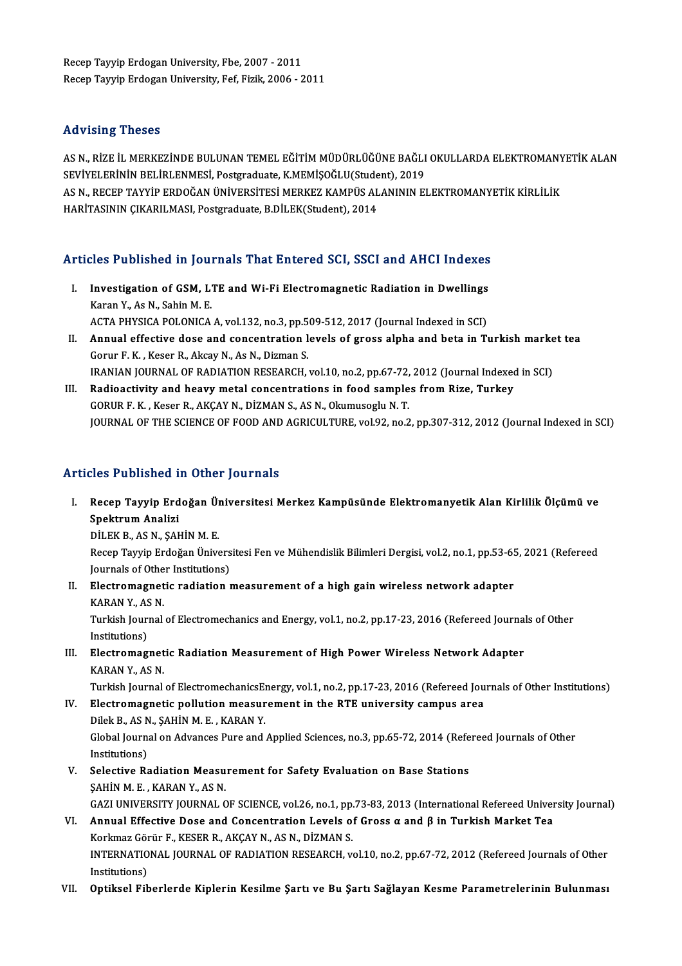Recep Tayyip Erdogan University, Fbe, 2007 - 2011 Recep Tayyip Erdogan University, Fef, Fizik, 2006 - 2011

#### Advising Theses

Advising Theses<br>AS N., RİZE İL MERKEZİNDE BULUNAN TEMEL EĞİTİM MÜDÜRLÜĞÜNE BAĞLI OKULLARDA ELEKTROMANYETİK ALAN<br>SEVİYELERİNİN PELİRI ENMESL Postaraduata KMEMİSOĞLU(Studant), 2019 SER VISIN<sub>B</sub> TRODOO<br>AS N., RİZE İL MERKEZİNDE BULUNAN TEMEL EĞİTİM MÜDÜRLÜĞÜNE BAĞLI<br>SEVİYELERİNİN BELİRLENMESİ, Postgraduate, K.MEMİŞOĞLU(Student), 2019<br>AS N. BECER TAYVİR ERDOĞAN ÜNİVERSİTESİ MERKEZ KAMPÜS ALANININ EL AS N., RİZE İL MERKEZİNDE BULUNAN TEMEL EĞİTİM MÜDÜRLÜĞÜNE BAĞLI OKULLARDA ELEKTROMANY<br>SEVİYELERİNİN BELİRLENMESİ, Postgraduate, K.MEMİŞOĞLU(Student), 2019<br>AS N., RECEP TAYYİP ERDOĞAN ÜNİVERSİTESİ MERKEZ KAMPÜS ALANININ EL SEVİYELERİNİN BELİRLENMESİ, Postgraduate, K.MEMİŞOĞLU(Student), 2019<br>AS N., RECEP TAYYİP ERDOĞAN ÜNİVERSİTESİ MERKEZ KAMPÜS ALANININ ELEKTROMANYETİK KİRLİLİK<br>HARİTASININ CIKARILMASI, Postgraduate, B.DİLEK(Student), 2014

# Articles Published in Journals That Entered SCI, SSCI and AHCI Indexes

- rticles Published in Journals That Entered SCI, SSCI and AHCI Indexes<br>I. Investigation of GSM, LTE and Wi-Fi Electromagnetic Radiation in Dwellings<br>Kanan V, As N, Sabin M, E XXXX a mathematic in Journal<br>Investigation of GSM, L'<br>Karan Y., As N., Sahin M. E.<br>ACTA PHYSICA POLONICA Investigation of GSM, LTE and Wi-Fi Electromagnetic Radiation in Dwellings<br>Karan Y., As N., Sahin M. E.<br>ACTA PHYSICA POLONICA A, vol.132, no.3, pp.509-512, 2017 (Journal Indexed in SCI)<br>Annual effective does and sensentrat ACTA PHYSICA POLONICA A, vol.132, no.3, pp.509-512, 2017 (Journal Indexed in SCI)
- Karan Y., As N., Sahin M. E.<br>ACTA PHYSICA POLONICA A, vol.132, no.3, pp.509-512, 2017 (Journal Indexed in SCI)<br>II. Annual effective dose and concentration levels of gross alpha and beta in Turkish market tea<br>Gorur F. K. , Annual effective dose and concentration levels of gross alpha and beta in Turkish marke<br>Gorur F. K. , Keser R., Akcay N., As N., Dizman S.<br>IRANIAN JOURNAL OF RADIATION RESEARCH, vol.10, no.2, pp.67-72, 2012 (Journal Indexe Gorur F. K., Keser R., Akcay N., As N., Dizman S.<br>IRANIAN JOURNAL OF RADIATION RESEARCH, vol.10, no.2, pp.67-72, 2012 (Journal Indexed<br>III. Radioactivity and heavy metal concentrations in food samples from Rize, Turkey<br>COP
- IRANIAN JOURNAL OF RADIATION RESEARCH, vol.10, no.2, pp.67-72,<br>Radioactivity and heavy metal concentrations in food sample<br>GORUR F. K. , Keser R., AKÇAY N., DİZMAN S., AS N., Okumusoglu N. T.<br>JOUPMAL OF THE SCIENCE OF FOOD III. Radioactivity and heavy metal concentrations in food samples from Rize, Turkey<br>GORUR F. K. , Keser R., AKÇAY N., DİZMAN S., AS N., Okumusoglu N. T.<br>JOURNAL OF THE SCIENCE OF FOOD AND AGRICULTURE, vol.92, no.2, pp.307-

## Articles Published in Other Journals

rticles Published in Other Journals<br>I. Recep Tayyip Erdoğan Üniversitesi Merkez Kampüsünde Elektromanyetik Alan Kirlilik Ölçümü ve<br>SPektrum Aneliri Spektrum<br>Analizi<br>Spektrum Analizi<br>Dil Ek B AS N SAL Spektrum Analizi<br>DİLEK B., AS N., ŞAHİN M. E.

Recep Tayyip Erdoğan Üniversitesi Fen ve Mühendislik Bilimleri Dergisi, vol.2, no.1, pp.53-65, 2021 (Refereed DİLEK B., AS N., ŞAHİN M. E.<br>Recep Tayyip Erdoğan Ünivers<br>Journals of Other Institutions)<br>Electromagnetic radiation

II. Electromagnetic radiation measurement of a high gain wireless network adapter KARAN Y., AS N. Journals of Othe<br><mark>Electromagnet</mark><br>KARAN Y., AS N.<br>Turkich Journal Electromagnetic radiation measurement of a high gain wireless network adapter<br>KARAN Y., AS N.<br>Turkish Journal of Electromechanics and Energy, vol.1, no.2, pp.17-23, 2016 (Refereed Journals of Other<br>Institutions)

KARAN Y., AS<br>Turkish Jouri<br>Institutions)<br>Electromag Turkish Journal of Electromechanics and Energy, vol.1, no.2, pp.17-23, 2016 (Refereed Journal Institutions)<br>III. Electromagnetic Radiation Measurement of High Power Wireless Network Adapter<br>KARAN V. AS N

## Institutions)<br>III. Electromagnetic Radiation Measurement of High Power Wireless Network Adapter<br>KARAN Y., AS N.

Turkish Journal of ElectromechanicsEnergy, vol.1, no.2, pp.17-23, 2016 (Refereed Journals of Other Institutions)

- KARAN Y., AS N.<br>Turkish Journal of ElectromechanicsEnergy, vol.1, no.2, pp.17-23, 2016 (Refereed Jou<br>IV. Electromagnetic pollution measurement in the RTE university campus area<br>Dilak B. AS N. SAHIN M. E. KARAN V. Turkish Journal of Electromechanics<br>Electromagnetic pollution measur<br>Dilek B., AS N., ŞAHİN M. E. , KARAN Y.<br>Clabel Journal on Advances Bure and Global Journal on Advances Pure and Applied Sciences, no.3, pp.65-72, 2014 (Refereed Journals of Other<br>Institutions) Dilek B., AS N., ŞAHİN M. E., KARAN Y. Global Journal on Advances Pure and Applied Sciences, no.3, pp.65-72, 2014 (Refe<br>Institutions)<br>V. Selective Radiation Measurement for Safety Evaluation on Base Stations<br>SAUIN M.E., KARAN V. AS N
- Institutions)<br>Selective Radiation Measu<br>ŞAHİN M. E. , KARAN Y., AS N.<br>CAZI UNIVERSITY JOURNAL C SAHİN M. E. , KARAN Y., AS N.<br>GAZI UNIVERSITY JOURNAL OF SCIENCE, vol.26, no.1, pp.73-83, 2013 (International Refereed University Journal) SAHİN M. E. , KARAN Y., AS N.<br>GAZI UNIVERSITY JOURNAL OF SCIENCE, vol.26, no.1, pp.73-83, 2013 (International Refereed Univer<br>VI. Annual Effective Dose and Concentration Levels of Gross α and β in Turkish Market Tea<br>Kerlm
- GAZI UNIVERSITY JOURNAL OF SCIENCE, vol.26, no.1, pp.<br>Annual Effective Dose and Concentration Levels of<br>Korkmaz Görür F., KESER R., AKÇAY N., AS N., DİZMAN S.<br>INTERNATIONAL JOURNAL OF RADIATION RESEARCH ... INTERNATIONAL JOURNAL OF RADIATION RESEARCH, vol.10, no.2, pp.67-72, 2012 (Refereed Journals of Other<br>Institutions) Korkmaz Görür F., KESER R., AKÇAY N., AS N., DİZMAN S.
- VII. Optiksel Fiberlerde Kiplerin Kesilme Şartı ve Bu Şartı Sağlayan Kesme Parametrelerinin Bulunması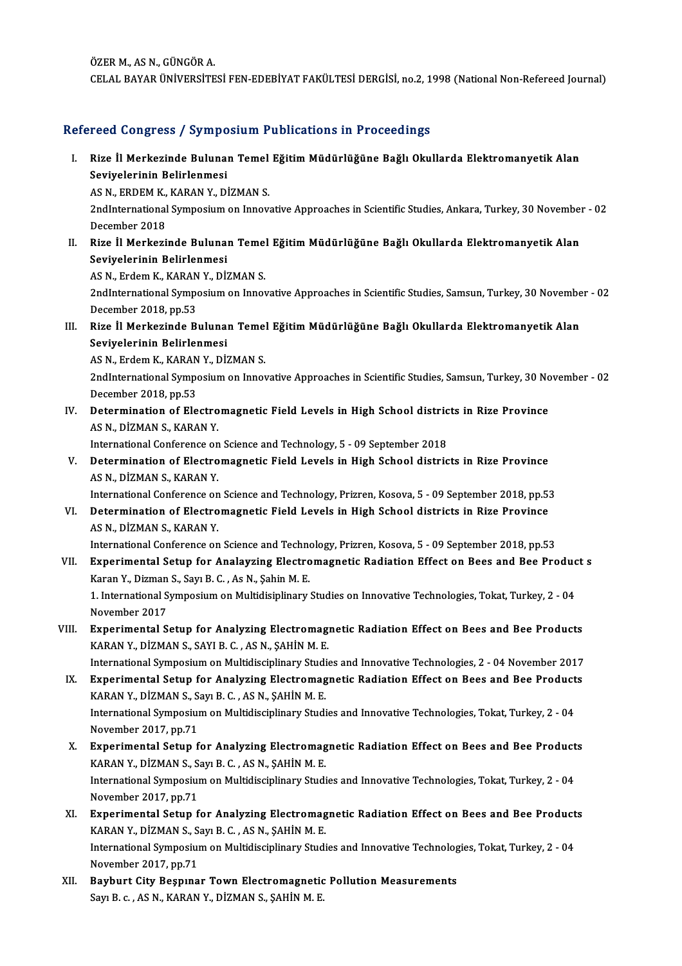ÖZERM.,ASN.,GÜNGÖRA. CELALBAYARÜNİVERSİTESİFEN-EDEBİYATFAKÜLTESİDERGİSİ,no.2,1998 (NationalNon-Refereed Journal)

## Refereed Congress / Symposium Publications in Proceedings

efereed Congress / Symposium Publications in Proceedings<br>I. Rize İl Merkezinde Bulunan Temel Eğitim Müdürlüğüne Bağlı Okullarda Elektromanyetik Alan<br>Sevivelerinin Belirlenmesi Seville Belinde Buluna<br>Seviyelerinin Belirlenmesi<br>ASN EPDEM*V VA*RANY DI Rize İl Merkezinde Bulunan Temel<br>Seviyelerinin Belirlenmesi<br>AS N., ERDEM K., KARAN Y., DİZMAN S.<br>2ndInternational Sumnesium on Innev

AS N., ERDEM K., KARAN Y., DİZMAN S.

Seviyelerinin Belirlenmesi<br>AS N., ERDEM K., KARAN Y., DİZMAN S.<br>2ndInternational Symposium on Innovative Approaches in Scientific Studies, Ankara, Turkey, 30 November - 02<br>December 2018 2ndInternational Symposium on Innovative Approaches in Scientific Studies, Ankara, Turkey, 30 November<br>December 2018<br>II. Rize İl Merkezinde Bulunan Temel Eğitim Müdürlüğüne Bağlı Okullarda Elektromanyetik Alan<br>Soviyelerini

December 2018<br>Rize İl Merkezinde Buluna<br>Seviyelerinin Belirlenmesi<br>AS N. Erdem K. KARAN V. Dİ. Rize İl Merkezinde Bulunan Temel<br>Seviyelerinin Belirlenmesi<br>AS N., Erdem K., KARAN Y., DİZMAN S.<br>2ndInternational Sumnesium on Innes

AS N., Erdem K., KARAN Y., DİZMAN S.

Seviyelerinin Belirlenmesi<br>AS N., Erdem K., KARAN Y., DİZMAN S.<br>2ndInternational Symposium on Innovative Approaches in Scientific Studies, Samsun, Turkey, 30 November - 02<br>December 2018, pp.53 2ndInternational Symposium on Innovative Approaches in Scientific Studies, Samsun, Turkey, 30 Novembe<br>December 2018, pp.53<br>III. Rize İl Merkezinde Bulunan Temel Eğitim Müdürlüğüne Bağlı Okullarda Elektromanyetik Alan<br>Seviy

December 2018, pp.53<br>Rize İl Merkezinde Buluna<br>Seviyelerinin Belirlenmesi<br>ASN Erdem K. KARAN V. Dİ. Rize İl Merkezinde Bulunan Temel<br>Seviyelerinin Belirlenmesi<br>AS N., Erdem K., KARAN Y., DİZMAN S.<br>2ndInternational Sumnesium en Innes

Seviyelerinin Belirlenmesi<br>AS N., Erdem K., KARAN Y., DİZMAN S.<br>2ndInternational Symposium on Innovative Approaches in Scientific Studies, Samsun, Turkey, 30 November - 02<br>Desember 2018, pp.52 AS N., Erdem K., KARAN<br>2ndInternational Sympo<br>December 2018, pp.53<br>Determination of Ele 2ndInternational Symposium on Innovative Approaches in Scientific Studies, Samsun, Turkey, 30 No<br>December 2018, pp.53<br>IV. Determination of Electromagnetic Field Levels in High School districts in Rize Province<br>AS N. DIZMAN

December 2018, pp.53<br>Determination of Electro<br>AS N., DİZMAN S., KARAN Y.<br>International Conference on Determination of Electromagnetic Field Levels in High School distric<br>AS N., DİZMAN S., KARAN Y.<br>International Conference on Science and Technology, 5 - 09 September 2018<br>Determination of Electromagnetic Field Levels in Hig

International Conference on Science and Technology, 5 - 09 September 2018

AS N., DİZMAN S., KARAN Y.<br>International Conference on Science and Technology, 5 - 09 September 2018<br>V. Determination of Electromagnetic Field Levels in High School districts in Rize Province<br>AS N., DİZMAN S., KARAN Y. Determination of Electromagnetic Field Levels in High School districts in Rize Province<br>AS N., DİZMAN S., KARAN Y.<br>International Conference on Science and Technology, Prizren, Kosova, 5 - 09 September 2018, pp.53<br>Determina

AS N., DİZMAN S., KARAN Y.<br>International Conference on Science and Technology, Prizren, Kosova, 5 - 09 September 2018, pp.53<br>VI. Determination of Electromagnetic Field Levels in High School districts in Rize Province<br>AS N. International Conference on<br>Determination of Electro<br>AS N., DİZMAN S., KARAN Y.<br>International Conference on Determination of Electromagnetic Field Levels in High School districts in Rize Province<br>AS N., DİZMAN S., KARAN Y.<br>International Conference on Science and Technology, Prizren, Kosova, 5 - 09 September 2018, pp.53<br>Eunerimen

- AS N., DİZMAN S., KARAN Y.<br>International Conference on Science and Technology, Prizren, Kosova, 5 09 September 2018, pp.53<br>VII. Experimental Setup for Analayzing Electromagnetic Radiation Effect on Bees and Bee Product s International Conference on Science and Techno<br>Experimental Setup for Analayzing Electro<br>Karan Y., Dizman S., Sayı B. C. , As N., Şahin M. E.<br>1. International Symnosium on Multidiainlinew. Experimental Setup for Analayzing Electromagnetic Radiation Effect on Bees and Bee Produc<br>Karan Y., Dizman S., Sayı B. C. , As N., Şahin M. E.<br>1. International Symposium on Multidisiplinary Studies on Innovative Technologi Karan Y., Dizman S., Sayı B. C. , As N., Şahin M. E.<br>1. International Symposium on Multidisiplinary Studies on Innovative Technologies, Tokat, Turkey, 2 - 04<br>November 2017
- VIII. Experimental Setup for Analyzing Electromagnetic Radiation Effect on Bees and Bee Products KARAN Y., DİZMAN S., SAYI B. C., AS N., ŞAHİN M. E.

International Symposium on Multidisciplinary Studies and Innovative Technologies, 2 - 04 November 2017 KARAN Y., DİZMAN S., SAYI B. C. , AS N., ŞAHİN M. E.<br>International Symposium on Multidisciplinary Studies and Innovative Technologies, 2 - 04 November 2017<br>IX. Experimental Setup for Analyzing Electromagnetic Radiation Eff

- International Symposium on Multidisciplinary Studing<br>Experimental Setup for Analyzing Electromag<br>KARAN Y., DİZMAN S., Sayı B. C. , AS N., ŞAHİN M. E. Experimental Setup for Analyzing Electromagnetic Radiation Effect on Bees and Bee Product<br>KARAN Y., DİZMAN S., Sayı B. C. , AS N., ŞAHİN M. E.<br>International Symposium on Multidisciplinary Studies and Innovative Technologie KARAN Y., DİZMAN S., S.<br>International Symposiu<br>November 2017, pp.71<br>Exporimental Setun f International Symposium on Multidisciplinary Studies and Innovative Technologies, Tokat, Turkey, 2 - 04<br>November 2017, pp.71<br>X. Experimental Setup for Analyzing Electromagnetic Radiation Effect on Bees and Bee Products<br>KAR
- November 2017, pp.71<br><mark>Experimental Setup for Analyzing Electromag</mark><br>KARAN Y., DİZMAN S., Sayı B. C. , AS N., ŞAHİN M. E.<br>International Sumnosium on Multidissiplinery Studi Experimental Setup for Analyzing Electromagnetic Radiation Effect on Bees and Bee Product<br>KARAN Y., DİZMAN S., Sayı B. C. , AS N., ŞAHİN M. E.<br>International Symposium on Multidisciplinary Studies and Innovative Technologie KARAN Y., DİZMAN S., Sayı B. C. , AS N., ŞAHİN M. E.<br>International Symposium on Multidisciplinary Studies and Innovative Technologies, Tokat, Turkey, 2 - 04<br>November 2017, pp.71 International Symposium on Multidisciplinary Studies and Innovative Technologies, Tokat, Turkey, 2 - 04<br>November 2017, pp.71<br>XI. Experimental Setup for Analyzing Electromagnetic Radiation Effect on Bees and Bee Products<br>KA
- November 2017, pp.71<br>Experimental Setup for Analyzing Electromag<br>KARAN Y., DİZMAN S., Sayı B. C. , AS N., ŞAHİN M. E.<br>International Sumnosium on Multidissiplinery Studi Experimental Setup for Analyzing Electromagnetic Radiation Effect on Bees and Bee Product<br>KARAN Y., DİZMAN S., Sayı B. C. , AS N., ŞAHİN M. E.<br>International Symposium on Multidisciplinary Studies and Innovative Technologie KARAN Y., DİZMAN S., Sayı B. C. , AS N., ŞAHİN M. E.<br>International Symposium on Multidisciplinary Studies and Innovative Technologies, Tokat, Turkey, 2 - 04<br>November 2017, pp.71 International Symposium on Multidisciplinary Studies and Innovative Technolog<br>November 2017, pp.71<br>XII. Bayburt City Beşpınar Town Electromagnetic Pollution Measurements<br>Sour B.G. AS N. KARAN Y. DİZMAN S. SAHİN M.E.
- November 2017, pp.71<br><mark>Bayburt City Beşpınar Town Electromagnetic</mark><br>Sayı B. c. , AS N., KARAN Y., DİZMAN S., ŞAHİN M. E.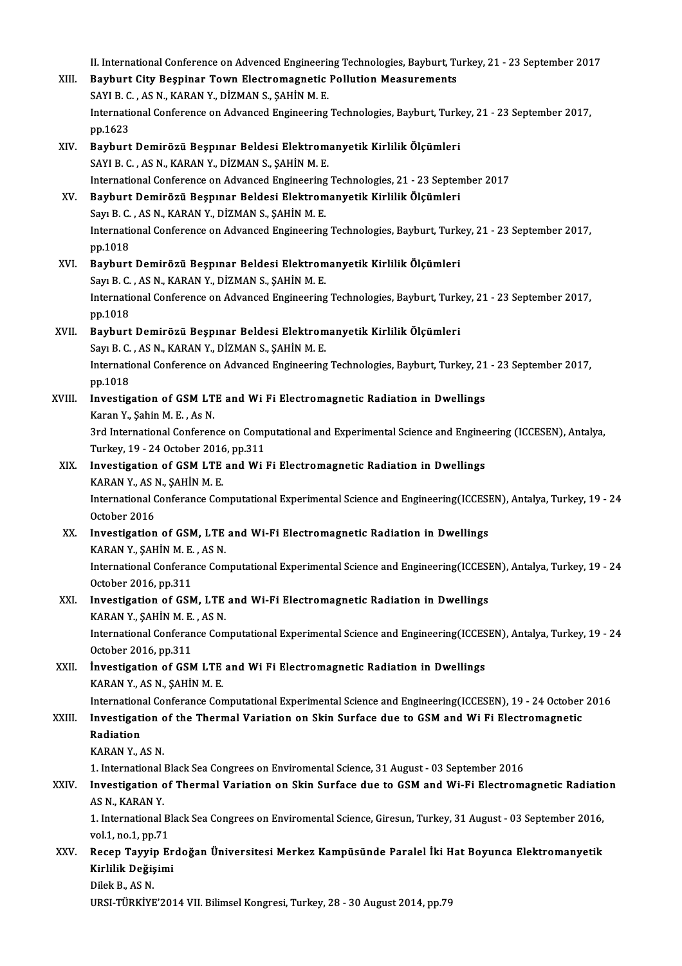II. International Conference on Advenced Engineering Technologies, Bayburt, Turkey, 21 - 23 September 2017

XIII. Bayburt City Beşpinar Town Electromagnetic Pollution Measurements II. International Conference on Advenced Engineerin<br>Bayburt City Beşpinar Town Electromagnetic<br>SAYI B. C. , AS N., KARAN Y., DİZMAN S., ŞAHİN M. E.<br>International Conference on Advanced Engineering. International Conference on Advanced Engineering Technologies, Bayburt, Turkey, 21 - 23 September 2017, pp.1623 SAYI B. C<br>Internation<br>pp.1623<br>Bayburt XIV. Bayburt Demirözü Beşpınar Beldesi Elektromanyetik Kirlilik Ölçümleri SAYI B. C., AS N., KARAN Y., DİZMAN S., ŞAHİN M. E. InternationalConference onAdvancedEngineeringTechnologies,21 -23 September 2017 XV. Bayburt Demirözü Beşpınar Beldesi Elektromanyetik Kirlilik Ölçümleri Sayı B. C., AS N., KARAN Y., DİZMAN S., ŞAHİN M. E. Bayburt Demirözü Beşpınar Beldesi Elektromanyetik Kirlilik Ölçümleri<br>Sayı B. C. , AS N., KARAN Y., DİZMAN S., ŞAHİN M. E.<br>International Conference on Advanced Engineering Technologies, Bayburt, Turkey, 21 - 23 September 20 Sayı B. C.<br>Internation<br>pp.1018 International Conference on Advanced Engineering Technologies, Bayburt, Turk<br>pp.1018<br>XVI. Bayburt Demirözü Beşpınar Beldesi Elektromanyetik Kirlilik Ölçümleri<br>Sayı B.C. ASN, KARAN V. DİZMAN S. SAHİN M.E. pp.1018<br><mark>Bayburt Demirözü Beşpınar Beldesi Elektrom</mark><br>Sayı B. C. , AS N., KARAN Y., DİZMAN S., ŞAHİN M. E.<br>International Conferense en Advansed Engineering XVI. Bayburt Demirözü Beşpınar Beldesi Elektromanyetik Kirlilik Ölçümleri<br>Sayı B. C. , AS N., KARAN Y., DİZMAN S., ŞAHİN M. E.<br>International Conference on Advanced Engineering Technologies, Bayburt, Turkey, 21 - 23 Septemb Sayı B. C.<br>Internation<br>pp.1018 International Conference on Advanced Engineering Technologies, Bayburt, Turk<br>pp.1018<br>XVII. Bayburt Demirözü Beşpınar Beldesi Elektromanyetik Kirlilik Ölçümleri<br>Serr B. G. ASN, KARAN V. DİZMAN S. SAHİN M. E pp.1018<br><mark>Bayburt Demirözü Beşpınar Beldesi Elektrom</mark><br>Sayı B. C. , AS N., KARAN Y., DİZMAN S., ŞAHİN M. E.<br>International Conferense en Advansed Engineering Bayburt Demirözü Beşpınar Beldesi Elektromanyetik Kirlilik Ölçümleri<br>Sayı B. C. , AS N., KARAN Y., DİZMAN S., ŞAHİN M. E.<br>International Conference on Advanced Engineering Technologies, Bayburt, Turkey, 21 - 23 September 20 Sayı B. C.<br>Internation<br>pp.1018 International Conference on Advanced Engineering Technologies, Bayburt, Turkey, 21<br>pp.1018<br>XVIII. Investigation of GSM LTE and Wi Fi Electromagnetic Radiation in Dwellings<br>Karan Y, Sabin M, F., As N. pp.1018<br>I<mark>nvestigation of GSM LT</mark><br>Karan Y., Şahin M. E. , As N.<br><sup>2rd Intornational Conferon</sup> Investigation of GSM LTE and Wi Fi Electromagnetic Radiation in Dwellings<br>Karan Y., Şahin M. E. , As N.<br>3rd International Conference on Computational and Experimental Science and Engineering (ICCESEN), Antalya,<br>Turkey, 19, Karan Y., Şahin M. E. , As N.<br>3rd International Conference on Comp<br>Turkey, 19 - 24 October 2016, pp.311<br>Investigation of CSM J TE and Wi 3rd International Conference on Computational and Experimental Science and Engine<br>Turkey, 19 - 24 October 2016, pp.311<br>XIX. Investigation of GSM LTE and Wi Fi Electromagnetic Radiation in Dwellings<br>KABAN V, AS N, SAHIN M E Turkey, 19 - 24 October 2016, pp.311<br>XIX. Investigation of GSM LTE and Wi Fi Electromagnetic Radiation in Dwellings International Conferance Computational Experimental Science and Engineering(ICCESEN), Antalya, Turkey, 19 - 24<br>October 2016 KARAN Y, AS N, ŞAHİN M.E. International Conferance Computational Experimental Science and Engineering(ICCESI<br>October 2016<br>XX. Investigation of GSM, LTE and Wi-Fi Electromagnetic Radiation in Dwellings<br>VADAN V. SAHIN M.E. AS N October 2016<br>Investigation of GSM, LTE<br>KARAN Y., ŞAHİN M.E., AS N.<br>International Conference Com International Conferance Computational Experimental Science and Engineering(ICCESEN), Antalya, Turkey, 19 - 24<br>October 2016, pp.311 KARAN Y., ŞAHİN M.E., AS N. International Conferance Computational Experimental Science and Engineering(ICCESI<br>October 2016, pp.311<br>XXI. Investigation of GSM, LTE and Wi-Fi Electromagnetic Radiation in Dwellings<br>KARAN V. SAHIN M.E. AS N October 2016, pp.311<br>Investigation of GSM, LTE<br>KARAN Y., ŞAHİN M.E., AS N.<br>International Conference Com International Conferance Computational Experimental Science and Engineering(ICCESEN), Antalya, Turkey, 19 - 24<br>October 2016, pp.311 KARAN Y., ŞAHİN M. E., AS N. XXII. Investigation of GSM LTE and Wi Fi Electromagnetic Radiation in Dwellings KARANY., ASN., ŞAHİNM.E. Investigation of GSM LTE and Wi Fi Electromagnetic Radiation in Dwellings<br>KARAN Y., AS N., ŞAHİN M. E.<br>International Conferance Computational Experimental Science and Engineering(ICCESEN), 19 - 24 October 2016<br>Investigatio KARAN Y., AS N., ŞAHİN M. E.<br>International Conferance Computational Experimental Science and Engineering(ICCESEN), 19 - 24 October<br>XXIII. Investigation of the Thermal Variation on Skin Surface due to GSM and Wi Fi Electrom Internation<br>Investigati<br>Radiation<br>KARAN V XXIII. Investigation of the Thermal Variation on Skin Surface due to GSM and Wi Fi Electromagnetic<br>Radiation<br>KARAN Y.. AS N. 1. InternationalBlackSeaCongrees onEnviromentalScience,31August -03 September 2016 KARAN Y., AS N.<br>1. International Black Sea Congrees on Enviromental Science, 31 August - 03 September 2016<br>XXIV. Investigation of Thermal Variation on Skin Surface due to GSM and Wi-Fi Electromagnetic Radiation<br>AS N. KARAN 1. International<br>Investigation<br>AS N., KARAN Y.<br>1. International. Investigation of Thermal Variation on Skin Surface due to GSM and Wi-Fi Electromagnetic Radiation<br>AS N., KARAN Y.<br>1. International Black Sea Congrees on Enviromental Science, Giresun, Turkey, 31 August - 03 September 2016, AS N., KARAN Y.<br>1. International Black Sea Congrees on Enviromental Science, Giresun, Turkey, 31 August - 03 September 2016,<br>vol.1, no.1, pp.71 1. International Black Sea Congrees on Enviromental Science, Giresun, Turkey, 31 August - 03 September 2016,<br>vol.1, no.1, pp.71<br>XXV. Recep Tayyip Erdoğan Üniversitesi Merkez Kampüsünde Paralel İki Hat Boyunca Elektroma vol.1, no.1, pp.71<br>Recep <mark>Tayyip Er</mark><br>Kirlilik Değişimi<br>Dilak B. AS N Re<mark>cep Tayyi</mark><br>Kirlilik Değiş<br>Dilek B., AS N.<br>URSI TÜRKİYE Kirlilik Değişimi<br>Dilek B., AS N.<br>URSI-TÜRKİYE'2014 VII. Bilimsel Kongresi, Turkey, 28 - 30 August 2014, pp.79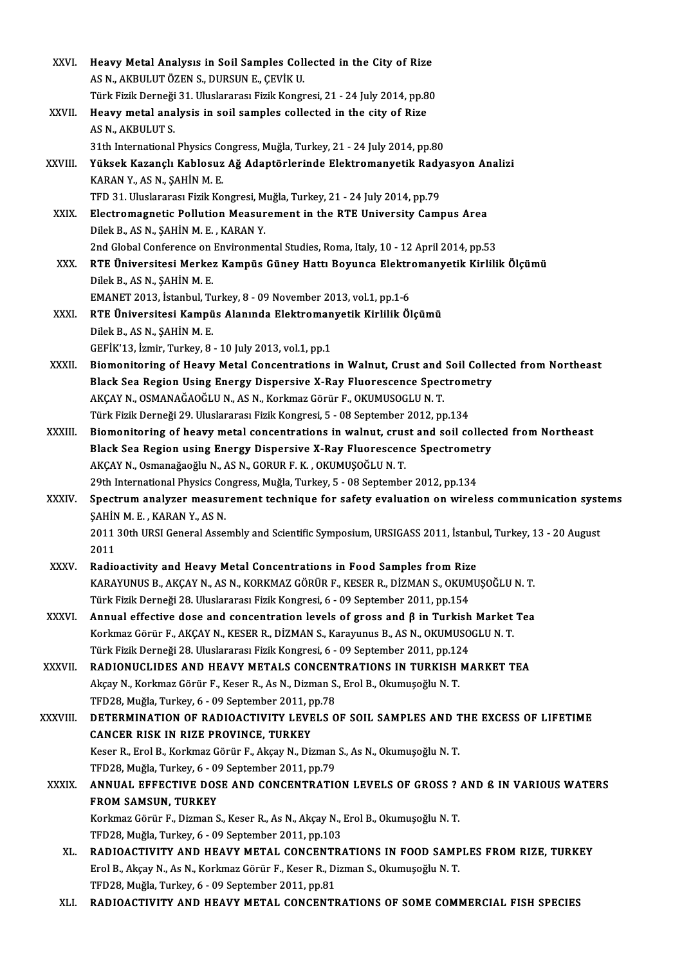| XXVI.        | Heavy Metal Analysis in Soil Samples Collected in the City of Rize                                                                              |
|--------------|-------------------------------------------------------------------------------------------------------------------------------------------------|
|              | AS N., AKBULUT ÖZEN S., DURSUN E., ÇEVİK U.                                                                                                     |
|              | Türk Fizik Derneği 31. Uluslararası Fizik Kongresi, 21 - 24 July 2014, pp.80                                                                    |
| XXVII.       | Heavy metal analysis in soil samples collected in the city of Rize                                                                              |
|              | AS N, AKBULUT S                                                                                                                                 |
|              | 31th International Physics Congress, Muğla, Turkey, 21 - 24 July 2014, pp.80                                                                    |
| XXVIII.      | Yüksek Kazançlı Kablosuz Ağ Adaptörlerinde Elektromanyetik Radyasyon Analizi                                                                    |
|              | KARAN Y., AS N., ŞAHİN M. E.                                                                                                                    |
|              | TFD 31. Uluslararası Fizik Kongresi, Muğla, Turkey, 21 - 24 July 2014, pp.79                                                                    |
| XXIX.        | Electromagnetic Pollution Measurement in the RTE University Campus Area                                                                         |
|              | Dilek B., AS N., ŞAHİN M. E., KARAN Y.                                                                                                          |
|              | 2nd Global Conference on Environmental Studies, Roma, Italy, 10 - 12 April 2014, pp.53                                                          |
| XXX.         | RTE Üniversitesi Merkez Kampüs Güney Hattı Boyunca Elektromanyetik Kirlilik Ölçümü                                                              |
|              | Dilek B, AS N, ŞAHİN M.E.                                                                                                                       |
|              | EMANET 2013, İstanbul, Turkey, 8 - 09 November 2013, vol.1, pp.1-6                                                                              |
| XXXI.        | RTE Üniversitesi Kampüs Alanında Elektromanyetik Kirlilik Ölçümü                                                                                |
|              | Dilek B, AS N, ŞAHİN M E.                                                                                                                       |
|              | GEFIK'13, Izmir, Turkey, 8 - 10 July 2013, vol 1, pp 1                                                                                          |
| XXXII.       | Biomonitoring of Heavy Metal Concentrations in Walnut, Crust and Soil Collected from Northeast                                                  |
|              | Black Sea Region Using Energy Dispersive X-Ray Fluorescence Spectrometry<br>AKÇAY N., OSMANAĞAOĞLU N., AS N., Korkmaz Görür F., OKUMUSOGLU N.T. |
|              | Türk Fizik Derneği 29. Uluslararası Fizik Kongresi, 5 - 08 September 2012, pp.134                                                               |
| XXXIII.      | Biomonitoring of heavy metal concentrations in walnut, crust and soil collected from Northeast                                                  |
|              | Black Sea Region using Energy Dispersive X-Ray Fluorescence Spectrometry                                                                        |
|              | AKÇAY N., Osmanağaoğlu N., AS N., GORUR F. K., OKUMUŞOĞLU N. T.                                                                                 |
|              | 29th International Physics Congress, Muğla, Turkey, 5 - 08 September 2012, pp.134                                                               |
| <b>XXXIV</b> | Spectrum analyzer measurement technique for safety evaluation on wireless communication systems                                                 |
|              | ŞAHİN M. E., KARAN Y., AS N.                                                                                                                    |
|              | 2011 30th URSI General Assembly and Scientific Symposium, URSIGASS 2011, İstanbul, Turkey, 13 - 20 August                                       |
|              | 2011                                                                                                                                            |
| <b>XXXV</b>  | Radioactivity and Heavy Metal Concentrations in Food Samples from Rize                                                                          |
|              | KARAYUNUS B., AKÇAY N., AS N., KORKMAZ GÖRÜR F., KESER R., DİZMAN S., OKUMUŞOĞLU N. T.                                                          |
|              | Türk Fizik Derneği 28. Uluslararası Fizik Kongresi, 6 - 09 September 2011, pp.154                                                               |
| <b>XXXVI</b> | Annual effective dose and concentration levels of gross and $\beta$ in Turkish Market Tea                                                       |
|              | Korkmaz Görür F., AKÇAY N., KESER R., DİZMAN S., Karayunus B., AS N., OKUMUSOGLU N. T.                                                          |
|              | Türk Fizik Derneği 28. Uluslararası Fizik Kongresi, 6 - 09 September 2011, pp.124                                                               |
| XXXVII.      | RADIONUCLIDES AND HEAVY METALS CONCENTRATIONS IN TURKISH MARKET TEA                                                                             |
|              | Akçay N., Korkmaz Görür F., Keser R., As N., Dizman S., Erol B., Okumuşoğlu N. T.                                                               |
|              | TFD28, Muğla, Turkey, 6 - 09 September 2011, pp.78                                                                                              |
| XXXVIII.     | DETERMINATION OF RADIOACTIVITY LEVELS OF SOIL SAMPLES AND THE EXCESS OF LIFETIME<br>CANCER RISK IN RIZE PROVINCE, TURKEY                        |
|              | Keser R., Erol B., Korkmaz Görür F., Akçay N., Dizman S., As N., Okumuşoğlu N.T.                                                                |
|              | TFD28, Muğla, Turkey, 6 - 09 September 2011, pp.79                                                                                              |
| <b>XXXIX</b> | ANNUAL EFFECTIVE DOSE AND CONCENTRATION LEVELS OF GROSS ? AND & IN VARIOUS WATERS                                                               |
|              | FROM SAMSUN, TURKEY                                                                                                                             |
|              | Korkmaz Görür F., Dizman S., Keser R., As N., Akçay N., Erol B., Okumuşoğlu N. T.                                                               |
|              | TFD28, Muğla, Turkey, 6 - 09 September 2011, pp.103                                                                                             |
| XL.          | RADIOACTIVITY AND HEAVY METAL CONCENTRATIONS IN FOOD SAMPLES FROM RIZE, TURKEY                                                                  |
|              | Erol B., Akçay N., As N., Korkmaz Görür F., Keser R., Dizman S., Okumuşoğlu N. T.                                                               |
|              | TFD28, Muğla, Turkey, 6 - 09 September 2011, pp.81                                                                                              |
| XLI.         | RADIOACTIVITY AND HEAVY METAL CONCENTRATIONS OF SOME COMMERCIAL FISH SPECIES                                                                    |
|              |                                                                                                                                                 |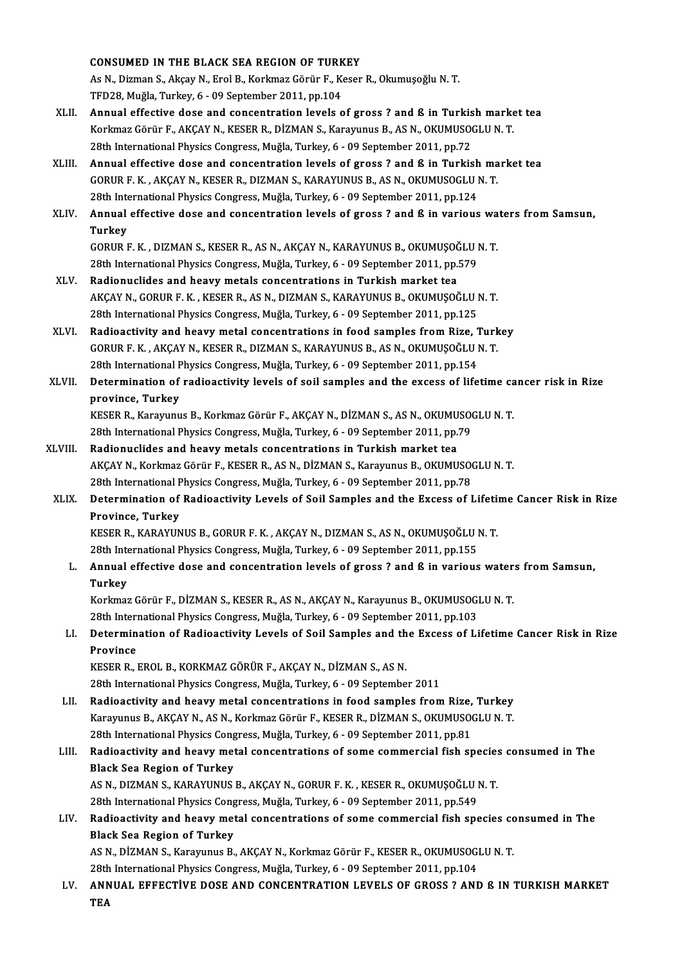|         | <b>CONSUMED IN THE BLACK SEA REGION OF TURKEY</b>                                                                                                                           |
|---------|-----------------------------------------------------------------------------------------------------------------------------------------------------------------------------|
|         | As N., Dizman S., Akçay N., Erol B., Korkmaz Görür F., Keser R., Okumuşoğlu N.T.                                                                                            |
|         | TFD28, Muğla, Turkey, 6 - 09 September 2011, pp.104                                                                                                                         |
| XLII.   | Annual effective dose and concentration levels of gross? and ß in Turkish market tea                                                                                        |
|         | Korkmaz Görür F., AKÇAY N., KESER R., DİZMAN S., Karayunus B., AS N., OKUMUSOGLU N. T.                                                                                      |
|         | 28th International Physics Congress, Muğla, Turkey, 6 - 09 September 2011, pp.72                                                                                            |
| XLIII.  | Annual effective dose and concentration levels of gross ? and ß in Turkish market tea                                                                                       |
|         | GORUR F. K., AKÇAY N., KESER R., DIZMAN S., KARAYUNUS B., AS N., OKUMUSOGLU N. T.                                                                                           |
|         | 28th International Physics Congress, Muğla, Turkey, 6 - 09 September 2011, pp.124                                                                                           |
| XLIV.   | Annual effective dose and concentration levels of gross ? and ß in various waters from Samsun,<br><b>Turkey</b>                                                             |
|         | GORUR F. K., DIZMAN S., KESER R., AS N., AKÇAY N., KARAYUNUS B., OKUMUŞOĞLU N. T.                                                                                           |
|         | 28th International Physics Congress, Muğla, Turkey, 6 - 09 September 2011, pp.579                                                                                           |
| XLV.    | Radionuclides and heavy metals concentrations in Turkish market tea                                                                                                         |
|         | AKÇAY N., GORUR F. K., KESER R., AS N., DIZMAN S., KARAYUNUS B., OKUMUŞOĞLU N. T.                                                                                           |
|         | 28th International Physics Congress, Muğla, Turkey, 6 - 09 September 2011, pp.125                                                                                           |
| XLVI.   | Radioactivity and heavy metal concentrations in food samples from Rize, Turkey                                                                                              |
|         | GORUR F. K., AKÇAY N., KESER R., DIZMAN S., KARAYUNUS B., AS N., OKUMUŞOĞLU N. T.                                                                                           |
|         | 28th International Physics Congress, Muğla, Turkey, 6 - 09 September 2011, pp.154                                                                                           |
| XLVII.  | Determination of radioactivity levels of soil samples and the excess of lifetime cancer risk in Rize                                                                        |
|         | province, Turkey                                                                                                                                                            |
|         | KESER R., Karayunus B., Korkmaz Görür F., AKÇAY N., DİZMAN S., AS N., OKUMUSOGLU N.T.                                                                                       |
|         | 28th International Physics Congress, Muğla, Turkey, 6 - 09 September 2011, pp.79                                                                                            |
| XLVIII. | Radionuclides and heavy metals concentrations in Turkish market tea                                                                                                         |
|         | AKÇAY N., Korkmaz Görür F., KESER R., AS N., DİZMAN S., Karayunus B., OKUMUSOGLU N. T.                                                                                      |
|         | 28th International Physics Congress, Muğla, Turkey, 6 - 09 September 2011, pp.78                                                                                            |
| XLIX.   | Determination of Radioactivity Levels of Soil Samples and the Excess of Lifetime Cancer Risk in Rize                                                                        |
|         | Province, Turkey                                                                                                                                                            |
|         | KESER R., KARAYUNUS B., GORUR F. K., AKÇAY N., DIZMAN S., AS N., OKUMUŞOĞLU N. T.                                                                                           |
|         | 28th International Physics Congress, Muğla, Turkey, 6 - 09 September 2011, pp.155                                                                                           |
| L.      | Annual effective dose and concentration levels of gross? and ß in various waters from Samsun,                                                                               |
|         | <b>Turkey</b>                                                                                                                                                               |
|         | Korkmaz Görür F., DİZMAN S., KESER R., AS N., AKÇAY N., Karayunus B., OKUMUSOGLU N. T.<br>28th International Physics Congress, Muğla, Turkey, 6 - 09 September 2011, pp.103 |
| LI.     | Determination of Radioactivity Levels of Soil Samples and the Excess of Lifetime Cancer Risk in Rize                                                                        |
|         | Province                                                                                                                                                                    |
|         | KESER R., EROL B., KORKMAZ GÖRÜR F., AKÇAY N., DİZMAN S., AS N.                                                                                                             |
|         | 28th International Physics Congress, Muğla, Turkey, 6 - 09 September 2011                                                                                                   |
| LII.    | Radioactivity and heavy metal concentrations in food samples from Rize, Turkey                                                                                              |
|         | Karayunus B., AKÇAY N., AS N., Korkmaz Görür F., KESER R., DİZMAN S., OKUMUSOGLU N. T.                                                                                      |
|         | 28th International Physics Congress, Muğla, Turkey, 6 - 09 September 2011, pp.81                                                                                            |
| LIII.   | Radioactivity and heavy metal concentrations of some commercial fish species consumed in The                                                                                |
|         | <b>Black Sea Region of Turkey</b>                                                                                                                                           |
|         | AS N., DIZMAN S., KARAYUNUS B., AKÇAY N., GORUR F. K., KESER R., OKUMUŞOĞLU N. T.                                                                                           |
|         | 28th International Physics Congress, Muğla, Turkey, 6 - 09 September 2011, pp.549                                                                                           |
| LIV.    | Radioactivity and heavy metal concentrations of some commercial fish species consumed in The                                                                                |
|         | <b>Black Sea Region of Turkey</b>                                                                                                                                           |
|         | AS N., DİZMAN S., Karayunus B., AKÇAY N., Korkmaz Görür F., KESER R., OKUMUSOGLU N. T.                                                                                      |
|         | 28th International Physics Congress, Muğla, Turkey, 6 - 09 September 2011, pp.104                                                                                           |
| LV.     | ANNUAL EFFECTIVE DOSE AND CONCENTRATION LEVELS OF GROSS ? AND B IN TURKISH MARKET                                                                                           |
|         | TC A                                                                                                                                                                        |

28th<br>ANN<br>TEA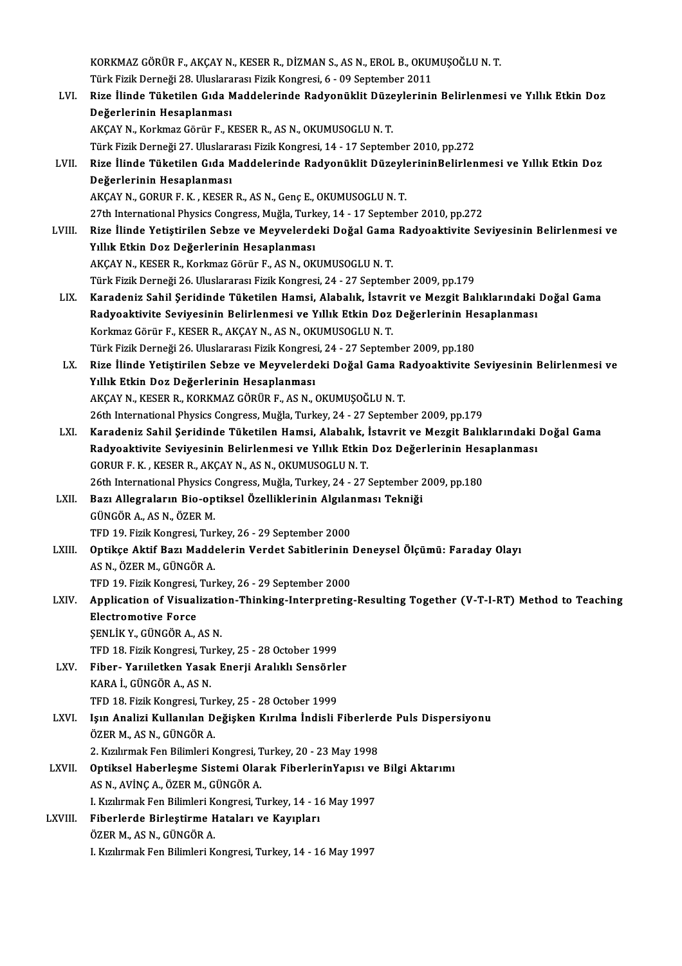|         | KORKMAZ GÖRÜR F., AKÇAY N., KESER R., DİZMAN S., AS N., EROL B., OKUMUŞOĞLU N. T.                                                                             |
|---------|---------------------------------------------------------------------------------------------------------------------------------------------------------------|
|         | Türk Fizik Derneği 28. Uluslararası Fizik Kongresi, 6 - 09 September 2011                                                                                     |
| LVI.    | Rize İlinde Tüketilen Gıda Maddelerinde Radyonüklit Düzeylerinin Belirlenmesi ve Yıllık Etkin Doz                                                             |
|         | Değerlerinin Hesaplanması                                                                                                                                     |
|         | AKÇAY N., Korkmaz Görür F., KESER R., AS N., OKUMUSOGLU N.T.                                                                                                  |
|         | Türk Fizik Derneği 27. Uluslararası Fizik Kongresi, 14 - 17 September 2010, pp.272                                                                            |
| LVII.   | Rize İlinde Tüketilen Gıda Maddelerinde Radyonüklit DüzeylerininBelirlenmesi ve Yıllık Etkin Doz                                                              |
|         | Değerlerinin Hesaplanması                                                                                                                                     |
|         | AKÇAY N., GORUR F. K., KESER R., AS N., Genç E., OKUMUSOGLU N. T.                                                                                             |
|         | 27th International Physics Congress, Muğla, Turkey, 14 - 17 September 2010, pp.272                                                                            |
| LVIII.  | Rize İlinde Yetiştirilen Sebze ve Meyvelerdeki Doğal Gama Radyoaktivite Seviyesinin Belirlenmesi ve                                                           |
|         | Yıllık Etkin Doz Değerlerinin Hesaplanması                                                                                                                    |
|         | AKÇAY N., KESER R., Korkmaz Görür F., AS N., OKUMUSOGLU N. T.                                                                                                 |
|         | Türk Fizik Derneği 26. Uluslararası Fizik Kongresi, 24 - 27 September 2009, pp.179                                                                            |
| LIX.    | Karadeniz Sahil Şeridinde Tüketilen Hamsi, Alabalık, İstavrit ve Mezgit Balıklarındaki Doğal Gama                                                             |
|         | Radyoaktivite Seviyesinin Belirlenmesi ve Yıllık Etkin Doz Değerlerinin Hesaplanması                                                                          |
|         | Korkmaz Görür F., KESER R., AKÇAY N., AS N., OKUMUSOGLU N.T.                                                                                                  |
|         | Türk Fizik Derneği 26. Uluslararası Fizik Kongresi, 24 - 27 September 2009, pp.180                                                                            |
| LX.     | Rize İlinde Yetiştirilen Sebze ve Meyvelerdeki Doğal Gama Radyoaktivite Seviyesinin Belirlenmesi ve                                                           |
|         | Yıllık Etkin Doz Değerlerinin Hesaplanması                                                                                                                    |
|         | AKÇAY N., KESER R., KORKMAZ GÖRÜR F., AS N., OKUMUŞOĞLU N. T.                                                                                                 |
|         | 26th International Physics Congress, Muğla, Turkey, 24 - 27 September 2009, pp.179                                                                            |
| LXI.    | Karadeniz Sahil Şeridinde Tüketilen Hamsi, Alabalık, İstavrit ve Mezgit Balıklarındaki Doğal Gama                                                             |
|         | Radyoaktivite Seviyesinin Belirlenmesi ve Yıllık Etkin Doz Değerlerinin Hesaplanması                                                                          |
|         | GORUR F. K., KESER R., AKÇAY N., AS N., OKUMUSOGLU N. T.                                                                                                      |
|         | 26th International Physics Congress, Muğla, Turkey, 24 - 27 September 2009, pp.180                                                                            |
| LXII.   | Bazı Allegraların Bio-optiksel Özelliklerinin Algılanması Tekniği                                                                                             |
|         | GÜNGÖR A., AS N., ÖZER M.                                                                                                                                     |
|         | TFD 19. Fizik Kongresi, Turkey, 26 - 29 September 2000                                                                                                        |
| LXIII.  | Optikçe Aktif Bazı Maddelerin Verdet Sabitlerinin Deneysel Ölçümü: Faraday Olayı                                                                              |
|         | AS N., ÖZER M., GÜNGÖR A.                                                                                                                                     |
| LXIV.   | TFD 19. Fizik Kongresi, Turkey, 26 - 29 September 2000<br>Application of Visualization-Thinking-Interpreting-Resulting Together (V-T-I-RT) Method to Teaching |
|         | <b>Electromotive Force</b>                                                                                                                                    |
|         | ŞENLİK Y., GÜNGÖR A., AS N.                                                                                                                                   |
|         | TFD 18. Fizik Kongresi, Turkey, 25 - 28 October 1999                                                                                                          |
| LXV.    | Fiber- Yarıiletken Yasak Enerji Aralıklı Sensörler                                                                                                            |
|         | KARA İ., GÜNGÖR A., AS N.                                                                                                                                     |
|         | TFD 18. Fizik Kongresi, Turkey, 25 - 28 October 1999                                                                                                          |
| LXVI.   | Işın Analizi Kullanılan Değişken Kırılma İndisli Fiberlerde Puls Dispersiyonu                                                                                 |
|         | ÖZER M., AS N., GÜNGÖR A.                                                                                                                                     |
|         | 2. Kızılırmak Fen Bilimleri Kongresi, Turkey, 20 - 23 May 1998                                                                                                |
| LXVII.  | Optiksel Haberleşme Sistemi Olarak Fiberlerin Yapısı ve Bilgi Aktarımı                                                                                        |
|         | AS N., AVİNÇ A., ÖZER M., GÜNGÖR A.                                                                                                                           |
|         | I. Kızılırmak Fen Bilimleri Kongresi, Turkey, 14 - 16 May 1997                                                                                                |
| LXVIII. | Fiberlerde Birleştirme Hataları ve Kayıpları                                                                                                                  |
|         | ÖZER M., AS N., GÜNGÖR A.                                                                                                                                     |
|         | I. Kızılırmak Fen Bilimleri Kongresi, Turkey, 14 - 16 May 1997                                                                                                |
|         |                                                                                                                                                               |